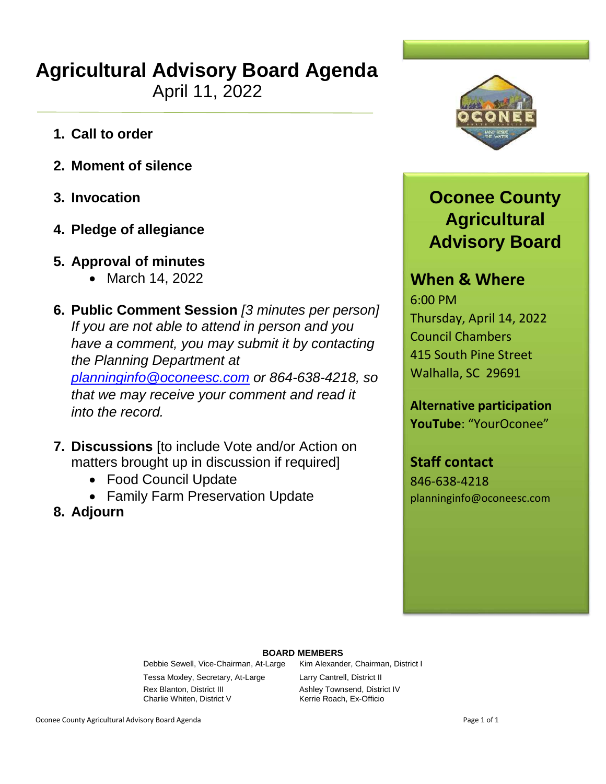# **Agricultural Advisory Board Agenda**

April 11, 2022

- **1. Call to order**
- **2. Moment of silence**
- **3. Invocation**
- **4. Pledge of allegiance**
- **5. Approval of minutes**
	- March 14, 2022
- **6. Public Comment Session** *[3 minutes per person] If you are not able to attend in person and you have a comment, you may submit it by contacting the Planning Department at [planninginfo@oconeesc.com](mailto:planninginfo@oconeesc.com) or 864-638-4218, so that we may receive your comment and read it into the record.*
- **7. Discussions** [to include Vote and/or Action on matters brought up in discussion if required]
	- Food Council Update
	- Family Farm Preservation Update
- **8. Adjourn**



## **Oconee County Agricultural Advisory Board**

### **When & Where**

6:00 PM Thursday, April 14, 2022 Council Chambers 415 South Pine Street Walhalla, SC 29691

**Alternative participation YouTube**: "YourOconee"

**Staff contact**

846-638-4218 planninginfo@oconeesc.com

#### **BOARD MEMBERS**

Debbie Sewell, Vice-Chairman, At-Large Kim Alexander, Chairman, District I Tessa Moxley, Secretary, At-Large Larry Cantrell, District II Rex Blanton, District III Ashley Townsend, District IV Charlie Whiten, District V Kerrie Roach, Ex-Officio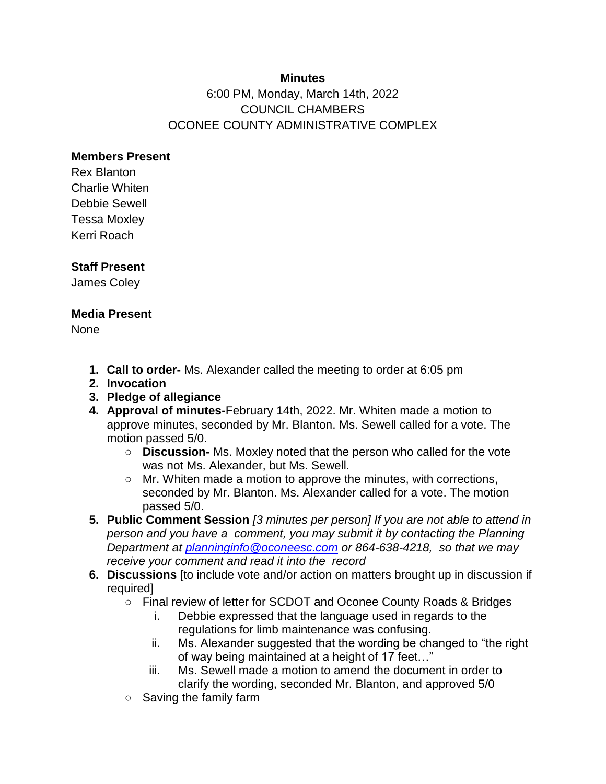#### **Minutes**

### 6:00 PM, Monday, March 14th, 2022 COUNCIL CHAMBERS OCONEE COUNTY ADMINISTRATIVE COMPLEX

#### **Members Present**

Rex Blanton Charlie Whiten Debbie Sewell Tessa Moxley Kerri Roach

#### **Staff Present**

James Coley

#### **Media Present**

None

- **1. Call to order-** Ms. Alexander called the meeting to order at 6:05 pm
- **2. Invocation**
- **3. Pledge of allegiance**
- **4. Approval of minutes-**February 14th, 2022. Mr. Whiten made a motion to approve minutes, seconded by Mr. Blanton. Ms. Sewell called for a vote. The motion passed 5/0.
	- **Discussion-** Ms. Moxley noted that the person who called for the vote was not Ms. Alexander, but Ms. Sewell.
	- Mr. Whiten made a motion to approve the minutes, with corrections, seconded by Mr. Blanton. Ms. Alexander called for a vote. The motion passed 5/0.
- **5. Public Comment Session** *[3 minutes per person] If you are not able to attend in person and you have a comment, you may submit it by contacting the Planning Department at planninginfo@oconeesc.com or 864-638-4218, so that we may receive your comment and read it into the record*
- **6. Discussions** [to include vote and/or action on matters brought up in discussion if required]
	- Final review of letter for SCDOT and Oconee County Roads & Bridges
		- i. Debbie expressed that the language used in regards to the regulations for limb maintenance was confusing.
		- ii. Ms. Alexander suggested that the wording be changed to "the right of way being maintained at a height of 17 feet…"
		- iii. Ms. Sewell made a motion to amend the document in order to clarify the wording, seconded Mr. Blanton, and approved 5/0
	- Saving the family farm